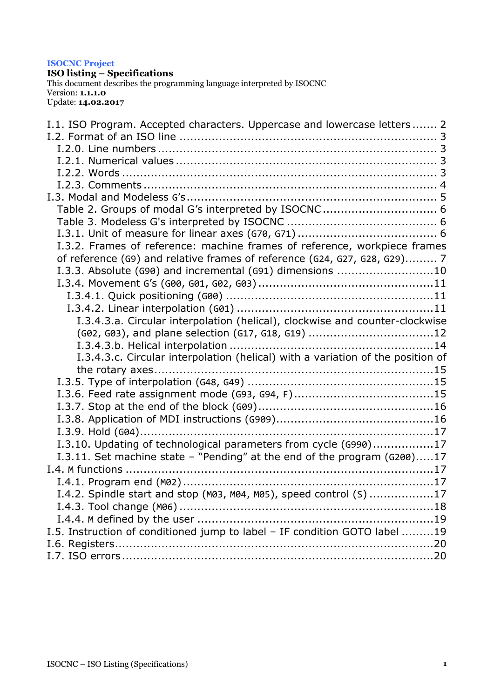#### **ISOCNC Project**

**ISO listing – Specifications**

This document describes the programming language interpreted by ISOCNC Version: **1.1.1.0** Update: **14.02.2017**

| I.1. ISO Program. Accepted characters. Uppercase and lowercase letters 2        |
|---------------------------------------------------------------------------------|
|                                                                                 |
|                                                                                 |
|                                                                                 |
|                                                                                 |
|                                                                                 |
|                                                                                 |
|                                                                                 |
|                                                                                 |
|                                                                                 |
| I.3.2. Frames of reference: machine frames of reference, workpiece frames       |
| of reference (G9) and relative frames of reference (G24, G27, G28, G29) 7       |
| I.3.3. Absolute (G90) and incremental (G91) dimensions 10                       |
|                                                                                 |
|                                                                                 |
|                                                                                 |
| I.3.4.3.a. Circular interpolation (helical), clockwise and counter-clockwise    |
| (G02, G03), and plane selection (G17, G18, G19) 12                              |
|                                                                                 |
| I.3.4.3.c. Circular interpolation (helical) with a variation of the position of |
|                                                                                 |
|                                                                                 |
|                                                                                 |
|                                                                                 |
|                                                                                 |
|                                                                                 |
| I.3.10. Updating of technological parameters from cycle (G990)17                |
| I.3.11. Set machine state - "Pending" at the end of the program (G200)17        |
|                                                                                 |
|                                                                                 |
| I.4.2. Spindle start and stop (M03, M04, M05), speed control (S) 17             |
|                                                                                 |
|                                                                                 |
| I.5. Instruction of conditioned jump to label - IF condition GOTO label 19      |
|                                                                                 |
|                                                                                 |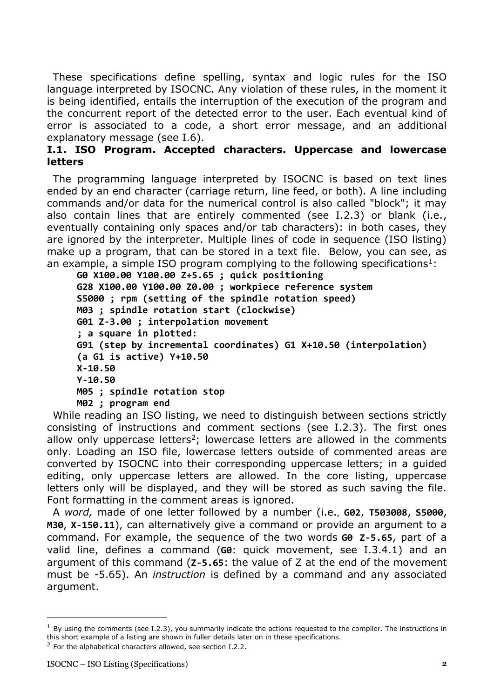These specifications define spelling, syntax and logic rules for the ISO language interpreted by ISOCNC. Any violation of these rules, in the moment it is being identified, entails the interruption of the execution of the program and the concurrent report of the detected error to the user. Each eventual kind of error is associated to a code, a short error message, and an additional explanatory message (see I.6).

### <span id="page-1-0"></span>**I.1. ISO Program. Accepted characters. Uppercase and lowercase letters**

The programming language interpreted by ISOCNC is based on text lines ended by an end character (carriage return, line feed, or both). A line including commands and/or data for the numerical control is also called "block"; it may also contain lines that are entirely commented (see I.2.3) or blank (i.e., eventually containing only spaces and/or tab characters): in both cases, they are ignored by the interpreter. Multiple lines of code in sequence (ISO listing) make up a program, that can be stored in a text file. Below, you can see, as an example, a simple ISO program complying to the following specifications<sup>1</sup>:

```
G0 X100.00 Y100.00 Z+5.65 ; quick positioning
G28 X100.00 Y100.00 Z0.00 ; workpiece reference system
S5000 ; rpm (setting of the spindle rotation speed)
M03 ; spindle rotation start (clockwise)
G01 Z-3.00 ; interpolation movement
; a square in plotted:
G91 (step by incremental coordinates) G1 X+10.50 (interpolation)
(a G1 is active) Y+10.50
X-10.50
Y-10.50
M05 ; spindle rotation stop
M02 ; program end
```
While reading an ISO listing, we need to distinguish between sections strictly consisting of instructions and comment sections (see I.2.3). The first ones allow only uppercase letters<sup>2</sup>; lowercase letters are allowed in the comments only. Loading an ISO file, lowercase letters outside of commented areas are converted by ISOCNC into their corresponding uppercase letters; in a guided editing, only uppercase letters are allowed. In the core listing, uppercase letters only will be displayed, and they will be stored as such saving the file. Font formatting in the comment areas is ignored.

A *word,* made of one letter followed by a number (i.e., **G02**, **T503008**, **S5000**, **M30**, **X-150.11**), can alternatively give a command or provide an argument to a command. For example, the sequence of the two words **G0 Z-5.65**, part of a valid line, defines a command (**G0**: quick movement, see I.3.4.1) and an argument of this command (**Z-5.65**: the value of Z at the end of the movement must be -5.65). An *instruction* is defined by a command and any associated argument.

 $<sup>1</sup>$  By using the comments (see I.2.3), you summarily indicate the actions requested to the compiler. The instructions in</sup> this short example of a listing are shown in fuller details later on in these specifications.

 $2$  For the alphabetical characters allowed, see section I.2.2.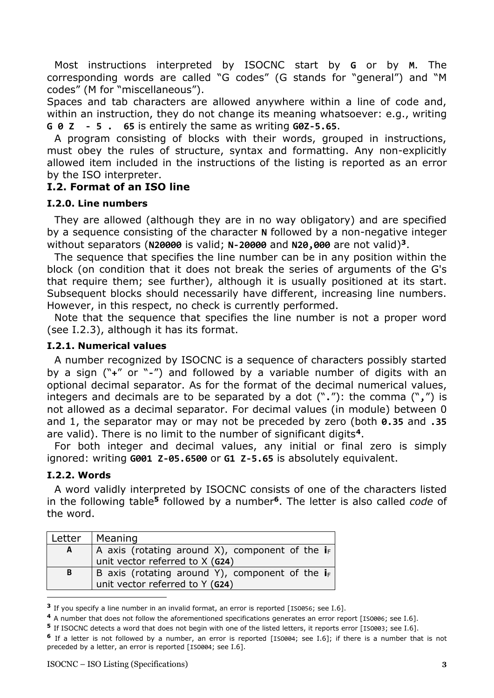Most instructions interpreted by ISOCNC start by **G** or by **M**. The corresponding words are called "G codes" (G stands for "general") and "M codes" (M for "miscellaneous").

Spaces and tab characters are allowed anywhere within a line of code and, within an instruction, they do not change its meaning whatsoever: e.g., writing **G 0 Z - 5 . 65** is entirely the same as writing **G0Z-5.65**.

A program consisting of blocks with their words, grouped in instructions, must obey the rules of structure, syntax and formatting. Any non-explicitly allowed item included in the instructions of the listing is reported as an error by the ISO interpreter.

### <span id="page-2-0"></span>**I.2. Format of an ISO line**

#### <span id="page-2-1"></span>**I.2.0. Line numbers**

They are allowed (although they are in no way obligatory) and are specified by a sequence consisting of the character **N** followed by a non-negative integer without separators (**N20000** is valid; **N-20000** and **N20,000** are not valid)**<sup>3</sup>**.

The sequence that specifies the line number can be in any position within the block (on condition that it does not break the series of arguments of the G's that require them; see further), although it is usually positioned at its start. Subsequent blocks should necessarily have different, increasing line numbers. However, in this respect, no check is currently performed.

Note that the sequence that specifies the line number is not a proper word (see I.2.3), although it has its format.

### <span id="page-2-2"></span>**I.2.1. Numerical values**

A number recognized by ISOCNC is a sequence of characters possibly started by a sign ("**+**" or "**-**") and followed by a variable number of digits with an optional decimal separator. As for the format of the decimal numerical values, integers and decimals are to be separated by a dot ("**.**"): the comma ("**,**") is not allowed as a decimal separator. For decimal values (in module) between 0 and 1, the separator may or may not be preceded by zero (both **0.35** and **.35** are valid). There is no limit to the number of significant digits**<sup>4</sup>**.

For both integer and decimal values, any initial or final zero is simply ignored: writing **G001 Z-05.6500** or **G1 Z-5.65** is absolutely equivalent.

### <span id="page-2-3"></span>**I.2.2. Words**

A word validly interpreted by ISOCNC consists of one of the characters listed in the following table**<sup>5</sup>** followed by a number**<sup>6</sup>**. The letter is also called *code* of the word.

| Letter | Meaning                                            |
|--------|----------------------------------------------------|
| A      | A axis (rotating around X), component of the $i_F$ |
|        | unit vector referred to X (G24)                    |
| B      | B axis (rotating around Y), component of the $i_F$ |
|        | unit vector referred to Y (G24)                    |

**<sup>3</sup>** If you specify a line number in an invalid format, an error is reported [ISO056; see I.6].

**<sup>4</sup>** A number that does not follow the aforementioned specifications generates an error report [ISO006; see I.6].

**<sup>5</sup>** If ISOCNC detects a word that does not begin with one of the listed letters, it reports error [ISO003; see I.6].

**<sup>6</sup>** If a letter is not followed by a number, an error is reported [ISO004; see I.6]; if there is a number that is not preceded by a letter, an error is reported [ISO004; see I.6].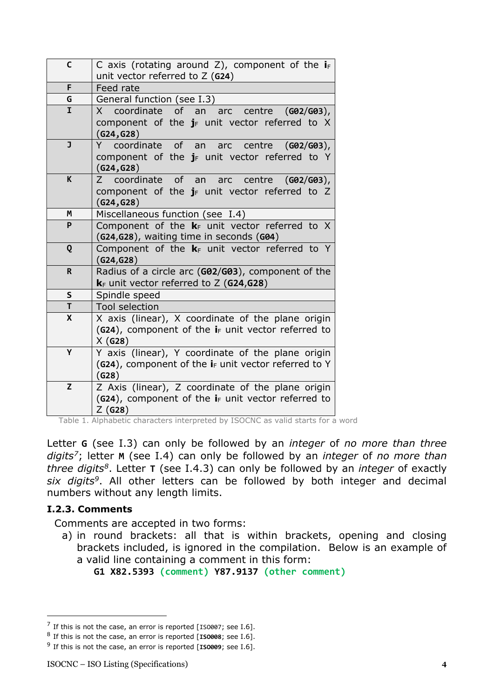| $\mathsf{C}$ | C axis (rotating around Z), component of the $i_F$<br>unit vector referred to $Z$ (G24)                      |
|--------------|--------------------------------------------------------------------------------------------------------------|
| F.           | Feed rate                                                                                                    |
| G            | General function (see I.3)                                                                                   |
| Ĩ.           | X coordinate of an arc centre (G02/G03),                                                                     |
|              | component of the $j_F$ unit vector referred to X<br>(G24, G28)                                               |
| J            | of an<br>Y coordinate<br>centre ( <b>G02/G03</b> ),<br>arc                                                   |
|              | component of the $j_F$ unit vector referred to Y<br>(G24, G28)                                               |
| K            | coordinate<br>of an arc centre<br>$(G02/G03)$ ,<br>7                                                         |
|              | component of the $j_F$ unit vector referred to Z                                                             |
|              | (G24, G28)                                                                                                   |
| Μ            | Miscellaneous function (see I.4)                                                                             |
| P            | Component of the $k_F$ unit vector referred to X                                                             |
|              | (G24, G28), waiting time in seconds (G04)                                                                    |
| Q            | Component of the $k_F$ unit vector referred to Y                                                             |
|              | (G24, G28)                                                                                                   |
| $\mathsf{R}$ | Radius of a circle arc (G02/G03), component of the                                                           |
|              | $k_F$ unit vector referred to Z (G24,G28)                                                                    |
| $\mathsf S$  | Spindle speed                                                                                                |
| T            | <b>Tool selection</b>                                                                                        |
| $\mathsf{X}$ | X axis (linear), X coordinate of the plane origin                                                            |
|              | (G24), component of the $i_F$ unit vector referred to                                                        |
| Y            | X(G28)                                                                                                       |
|              | Y axis (linear), Y coordinate of the plane origin<br>(G24), component of the $i_F$ unit vector referred to Y |
|              | (G28)                                                                                                        |
| Z            | Z Axis (linear), Z coordinate of the plane origin                                                            |
|              | (G24), component of the $i_F$ unit vector referred to                                                        |
|              | $Z$ (G28)                                                                                                    |
|              | $T$ $\cap$ $\cap$ $\cap$                                                                                     |

Table 1. Alphabetic characters interpreted by ISOCNC as valid starts for a word

Letter **G** (see I.3) can only be followed by an *integer* of *no more than three digits<sup>7</sup>*; letter **M** (see I.4) can only be followed by an *integer* of *no more than three digits<sup>8</sup>* . Letter **T** (see I.4.3) can only be followed by an *integer* of exactly *six digits<sup>9</sup>* . All other letters can be followed by both integer and decimal numbers without any length limits.

#### <span id="page-3-0"></span>**I.2.3. Comments**

Comments are accepted in two forms:

a) in round brackets: all that is within brackets, opening and closing brackets included, is ignored in the compilation. Below is an example of a valid line containing a comment in this form:

**G1 X82.5393 (comment) Y87.9137 (other comment)**

 $^7$  If this is not the case, an error is reported [1S0007; see I.6].

<sup>8</sup> If this is not the case, an error is reported [**ISO008**; see I.6].

<sup>9</sup> If this is not the case, an error is reported [**ISO009**; see I.6].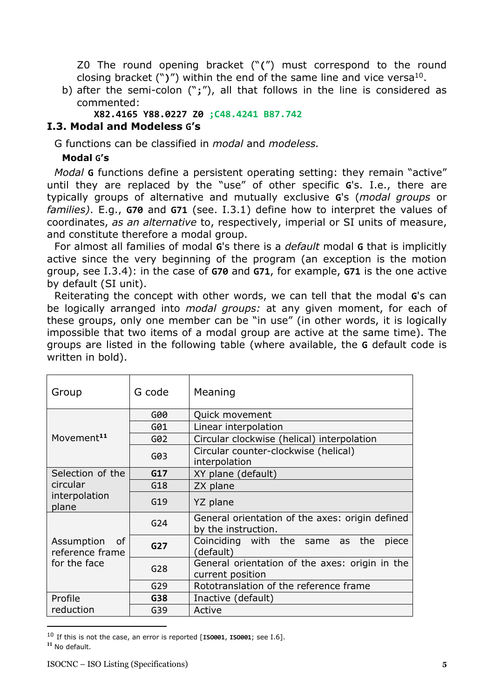Z0 The round opening bracket ("**(**") must correspond to the round closing bracket  $(")")$  within the end of the same line and vice versa<sup>10</sup>.

b) after the semi-colon ("**;**"), all that follows in the line is considered as commented:

**X82.4165 Y88.0227 Z0 ;C48.4241 B87.742**

# <span id="page-4-0"></span>**I.3. Modal and Modeless G's**

G functions can be classified in *modal* and *modeless.*

### **Modal G's**

*Modal* **G** functions define a persistent operating setting: they remain "active" until they are replaced by the "use" of other specific **G**'s. I.e., there are typically groups of alternative and mutually exclusive **G**'s (*modal groups* or *families)*. E.g., **G70** and **G71** (see. I.3.1) define how to interpret the values of coordinates, *as an alternative* to, respectively, imperial or SI units of measure, and constitute therefore a modal group.

For almost all families of modal **G**'s there is a *default* modal **G** that is implicitly active since the very beginning of the program (an exception is the motion group, see I.3.4): in the case of **G70** and **G71**, for example, **G71** is the one active by default (SI unit).

Reiterating the concept with other words, we can tell that the modal **G**'s can be logically arranged into *modal groups:* at any given moment, for each of these groups, only one member can be "in use" (in other words, it is logically impossible that two items of a modal group are active at the same time). The groups are listed in the following table (where available, the **G** default code is written in bold).

| Group                               | G code          | Meaning                                                                |
|-------------------------------------|-----------------|------------------------------------------------------------------------|
|                                     | G00             | Quick movement                                                         |
|                                     | G01             | Linear interpolation                                                   |
| Movement <sup>11</sup>              | G02             | Circular clockwise (helical) interpolation                             |
|                                     | G03             | Circular counter-clockwise (helical)<br>interpolation                  |
| Selection of the                    | G17             | XY plane (default)                                                     |
| circular                            | G18             | ZX plane                                                               |
| interpolation<br>plane              | G19             | YZ plane                                                               |
|                                     | G <sub>24</sub> | General orientation of the axes: origin defined<br>by the instruction. |
| Assumption<br>of<br>reference frame | G <sub>27</sub> | Coinciding with the same as the<br>piece<br>(default)                  |
| for the face                        | G <sub>28</sub> | General orientation of the axes: origin in the<br>current position     |
|                                     | G29             | Rototranslation of the reference frame                                 |
| Profile                             | G38             | Inactive (default)                                                     |
| reduction                           | G39             | Active                                                                 |

<sup>10</sup> If this is not the case, an error is reported [**ISO001**, **ISO001**; see I.6]. **<sup>11</sup>** No default.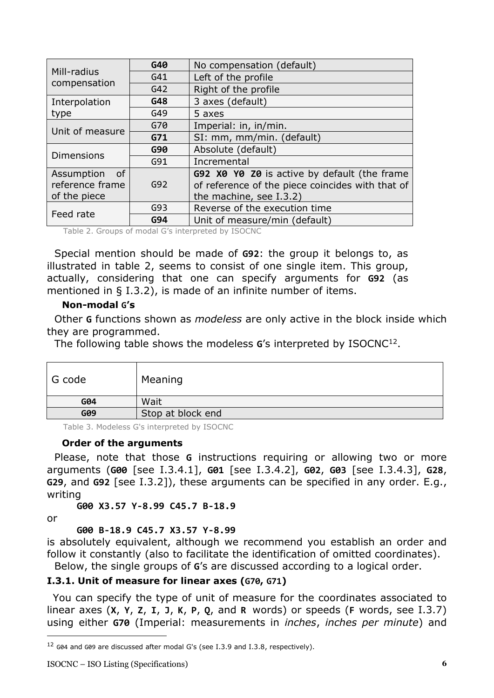|                   | G40 | No compensation (default)                        |
|-------------------|-----|--------------------------------------------------|
| Mill-radius       | G41 | Left of the profile                              |
| compensation      | G42 | Right of the profile                             |
| Interpolation     | G48 | 3 axes (default)                                 |
| type              | G49 | 5 axes                                           |
| Unit of measure   | G70 | Imperial: in, in/min.                            |
|                   | G71 | SI: mm, mm/min. (default)                        |
| <b>Dimensions</b> | G90 | Absolute (default)                               |
|                   | G91 | Incremental                                      |
| Assumption<br>_of |     | G92 X0 Y0 Z0 is active by default (the frame     |
| reference frame   | G92 | of reference of the piece coincides with that of |
| of the piece      |     | the machine, see I.3.2)                          |
|                   | G93 | Reverse of the execution time                    |
| Feed rate         | G94 | Unit of measure/min (default)                    |

<span id="page-5-0"></span>Table 2. Groups of modal G's interpreted by ISOCNC

Special mention should be made of **G92**: the group it belongs to, as illustrated in table 2, seems to consist of one single item. This group, actually, considering that one can specify arguments for **G92** (as mentioned in § I.3.2), is made of an infinite number of items.

#### **Non-modal G's**

Other **G** functions shown as *modeless* are only active in the block inside which they are programmed.

The following table shows the modeless **G**'s interpreted by ISOCNC<sup>12</sup> .

| G code | Meaning           |
|--------|-------------------|
| G04    | Wait              |
| G09    | Stop at block end |

<span id="page-5-1"></span>Table 3. Modeless G's interpreted by ISOCNC

#### **Order of the arguments**

Please, note that those **G** instructions requiring or allowing two or more arguments (**G00** [see I.3.4.1], **G01** [see I.3.4.2], **G02**, **G03** [see I.3.4.3], **G28**, **G29**, and **G92** [see I.3.2]), these arguments can be specified in any order. E.g., writing

**G00 X3.57 Y-8.99 C45.7 B-18.9**

or

#### **G00 B-18.9 C45.7 X3.57 Y-8.99**

is absolutely equivalent, although we recommend you establish an order and follow it constantly (also to facilitate the identification of omitted coordinates). Below, the single groups of **G**'s are discussed according to a logical order.

# <span id="page-5-2"></span>**I.3.1. Unit of measure for linear axes (G70, G71)**

You can specify the type of unit of measure for the coordinates associated to linear axes (**X**, **Y**, **Z**, **I**, **J**, **K**, **P**, **Q**, and **R** words) or speeds (**F** words, see I.3.7) using either **G70** (Imperial: measurements in *inches*, *inches per minute*) and

<sup>12</sup> G04 and G09 are discussed after modal G's (see I.3.9 and I.3.8, respectively).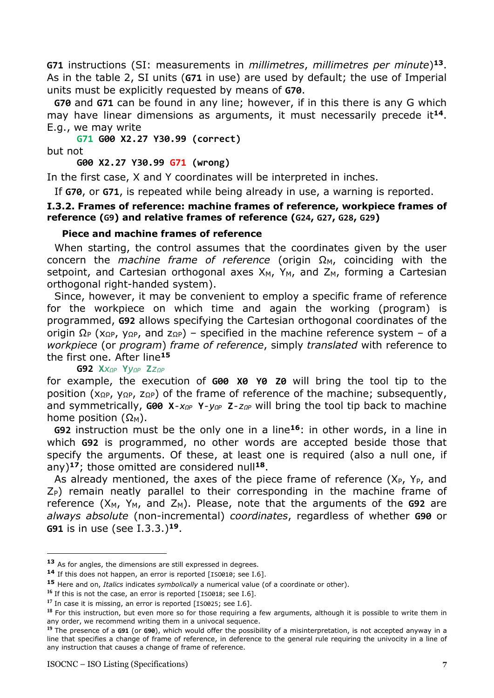**G71** instructions (SI: measurements in *millimetres*, *millimetres per minute*) **<sup>13</sup>**. As in the table 2, SI units (**G71** in use) are used by default; the use of Imperial units must be explicitly requested by means of **G70**.

**G70** and **G71** can be found in any line; however, if in this there is any G which may have linear dimensions as arguments, it must necessarily precede it**<sup>14</sup>**. E.g., we may write

**G71 G00 X2.27 Y30.99 (correct)** but not

**G00 X2.27 Y30.99 G71 (wrong)**

In the first case, X and Y coordinates will be interpreted in inches.

If **G70**, or **G71**, is repeated while being already in use, a warning is reported.

#### <span id="page-6-0"></span>**I.3.2. Frames of reference: machine frames of reference, workpiece frames of reference (G9) and relative frames of reference (G24, G27, G28, G29)**

#### **Piece and machine frames of reference**

When starting, the control assumes that the coordinates given by the user concern the *machine frame of reference* (origin  $\Omega_M$ , coinciding with the setpoint, and Cartesian orthogonal axes  $X_M$ ,  $Y_M$ , and  $Z_M$ , forming a Cartesian orthogonal right-handed system).

Since, however, it may be convenient to employ a specific frame of reference for the workpiece on which time and again the working (program) is programmed, **G92** allows specifying the Cartesian orthogonal coordinates of the origin  $\Omega_P$  (x<sub>ΩP</sub>, y<sub>ΩP</sub>, and z<sub>ΩP</sub>) – specified in the machine reference system – of a *workpiece* (or *program*) *frame of reference*, simply *translated* with reference to the first one. After line**<sup>15</sup>**

#### **G92 X***xΩP* **Y***yΩP* **Z***zΩP*

for example, the execution of **G00 X0 Y0 Z0** will bring the tool tip to the position ( $x_{\Omega}$ P,  $y_{\Omega}$ P,  $z_{\Omega}$ P) of the frame of reference of the machine; subsequently, and symmetrically, **G00 X***-xΩP* **Y***-yΩP* **Z***-zΩP* will bring the tool tip back to machine home position  $(Ω<sub>M</sub>)$ .

**G92** instruction must be the only one in a line**<sup>16</sup>**: in other words, in a line in which **G92** is programmed, no other words are accepted beside those that specify the arguments. Of these, at least one is required (also a null one, if any)**<sup>17</sup>**; those omitted are considered null**<sup>18</sup>**.

As already mentioned, the axes of the piece frame of reference  $(X_P, Y_P, \text{and})$  $Z_P$ ) remain neatly parallel to their corresponding in the machine frame of reference  $(X_M, Y_M,$  and  $Z_M$ ). Please, note that the arguments of the  $G92$  are *always absolute* (non-incremental) *coordinates*, regardless of whether **G90** or **G91** is in use (see I.3.3.)**<sup>19</sup>**.

**<sup>13</sup>** As for angles, the dimensions are still expressed in degrees.

<sup>14</sup> If this does not happen, an error is reported [IS0010; see I.6].

**<sup>15</sup>** Here and on, *Italics* indicates *symbolically* a numerical value (of a coordinate or other).

<sup>&</sup>lt;sup>16</sup> If this is not the case, an error is reported [ISO018; see I.6].

<sup>&</sup>lt;sup>17</sup> In case it is missing, an error is reported [ISO025; see I.6].

**<sup>18</sup>** For this instruction, but even more so for those requiring a few arguments, although it is possible to write them in any order, we recommend writing them in a univocal sequence.

**<sup>19</sup>** The presence of a **G91** (or **G90**), which would offer the possibility of a misinterpretation, is not accepted anyway in a line that specifies a change of frame of reference, in deference to the general rule requiring the univocity in a line of any instruction that causes a change of frame of reference.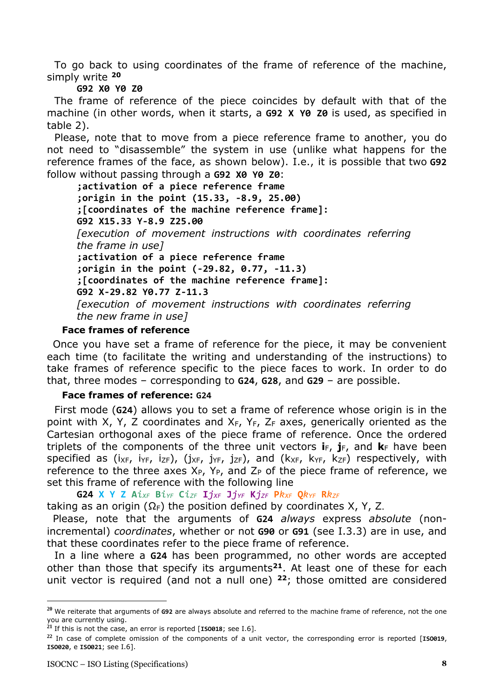To go back to using coordinates of the frame of reference of the machine, simply write **<sup>20</sup>**

#### **G92 X0 Y0 Z0**

The frame of reference of the piece coincides by default with that of the machine (in other words, when it starts, a **G92 X Y0 Z0** is used, as specified in table 2).

Please, note that to move from a piece reference frame to another, you do not need to "disassemble" the system in use (unlike what happens for the reference frames of the face, as shown below). I.e., it is possible that two **G92** follow without passing through a **G92 X0 Y0 Z0**:

**;activation of a piece reference frame ;origin in the point (15.33, -8.9, 25.00) ;[coordinates of the machine reference frame]: G92 X15.33 Y-8.9 Z25.00** *[execution of movement instructions with coordinates referring the frame in use]* **;activation of a piece reference frame ;origin in the point (-29.82, 0.77, -11.3) ;[coordinates of the machine reference frame]: G92 X-29.82 Y0.77 Z-11.3** *[execution of movement instructions with coordinates referring the new frame in use]*

#### **Face frames of reference**

Once you have set a frame of reference for the piece, it may be convenient each time (to facilitate the writing and understanding of the instructions) to take frames of reference specific to the piece faces to work. In order to do that, three modes – corresponding to **G24**, **G28**, and **G29** – are possible.

#### **Face frames of reference: G24**

First mode (**G24**) allows you to set a frame of reference whose origin is in the point with X, Y, Z coordinates and  $X_F$ ,  $Y_F$ ,  $Z_F$  axes, generically oriented as the Cartesian orthogonal axes of the piece frame of reference. Once the ordered triplets of the components of the three unit vectors  $\mathbf{i}_F$ ,  $\mathbf{j}_F$ , and  $\mathbf{k}_F$  have been specified as  $(i_{XF}, i_{YF}, i_{ZF})$ ,  $(i_{XF}, i_{ZF}, i_{ZF})$ , and  $(k_{XF}, k_{ZF})$  respectively, with reference to the three axes  $X_{P}$ ,  $Y_{P}$ , and  $Z_{P}$  of the piece frame of reference, we set this frame of reference with the following line

G24 X Y Z A $i_{XF}$  B $i_{YF}$  C $i_{ZF}$  I $j_{XF}$  J $j_{YF}$  K $j_{ZF}$  P $k_{XF}$  Q $k_{YF}$  R $k_{ZF}$ 

taking as an origin ( $\Omega_F$ ) the position defined by coordinates X, Y, Z.

Please, note that the arguments of **G24** *always* express *absolute* (nonincremental) *coordinates*, whether or not **G90** or **G91** (see I.3.3) are in use, and that these coordinates refer to the piece frame of reference.

In a line where a **G24** has been programmed, no other words are accepted other than those that specify its arguments**<sup>21</sup>**. At least one of these for each unit vector is required (and not a null one) **<sup>22</sup>**; those omitted are considered

**<sup>20</sup>** We reiterate that arguments of **G92** are always absolute and referred to the machine frame of reference, not the one you are currently using.

**<sup>21</sup>** If this is not the case, an error is reported [**ISO018**; see I.6].

**<sup>22</sup>** In case of complete omission of the components of a unit vector, the corresponding error is reported [**ISO019**, **ISO020**, e **ISO021**; see I.6].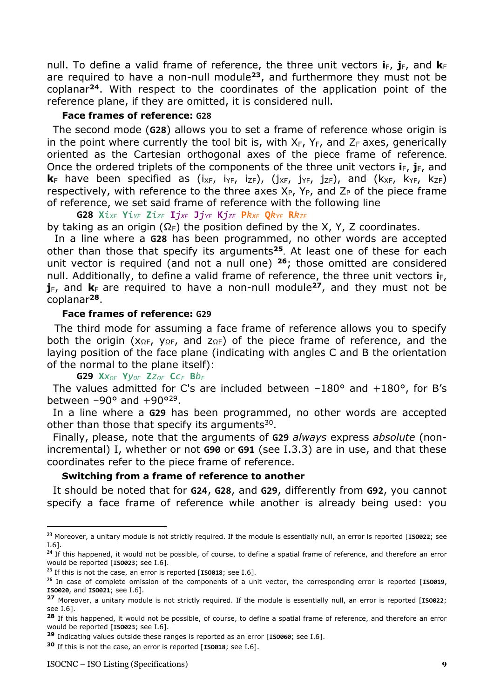null. To define a valid frame of reference, the three unit vectors  $\mathbf{i}_F$ ,  $\mathbf{j}_F$ , and  $\mathbf{k}_F$ are required to have a non-null module**<sup>23</sup>**, and furthermore they must not be coplanar**<sup>24</sup>**. With respect to the coordinates of the application point of the reference plane, if they are omitted, it is considered null.

### **Face frames of reference: G28**

The second mode (**G28**) allows you to set a frame of reference whose origin is in the point where currently the tool bit is, with  $X_F$ ,  $Y_F$ , and  $Z_F$  axes, generically oriented as the Cartesian orthogonal axes of the piece frame of reference. Once the ordered triplets of the components of the three unit vectors  $\mathbf{i}_F$ ,  $\mathbf{j}_F$ , and  $k_F$  have been specified as  $(ix_F, iy_F, iz_F)$ ,  $(j_{XF, j_{ZF}})$ , and  $(k_{XF, k_{ZF}})$ respectively, with reference to the three axes  $X_{P}$ ,  $Y_{P}$ , and  $Z_{P}$  of the piece frame of reference, we set said frame of reference with the following line

G28  $Xi_{XF}$   $Yi_{YF}$   $Zi_{ZF}$   $Ij_{XF}$   $Jj_{YF}$   $Kj_{ZF}$   $Pk_{XF}$   $Qk_{YF}$   $Rk_{ZF}$ 

by taking as an origin ( $\Omega_F$ ) the position defined by the X, Y, Z coordinates.

In a line where a **G28** has been programmed, no other words are accepted other than those that specify its arguments**<sup>25</sup>**. At least one of these for each unit vector is required (and not a null one) **<sup>26</sup>**; those omitted are considered null. Additionally, to define a valid frame of reference, the three unit vectors **i**<sub>F</sub>,  $j_F$ , and  $k_F$  are required to have a non-null module<sup>27</sup>, and they must not be coplanar**<sup>28</sup>**.

#### **Face frames of reference: G29**

The third mode for assuming a face frame of reference allows you to specify both the origin ( $X_{\Omega}F$ ,  $Y_{\Omega}F$ , and  $Z_{\Omega}F$ ) of the piece frame of reference, and the laying position of the face plane (indicating with angles C and B the orientation of the normal to the plane itself):

**G29 X***xΩF* **Y***yΩF* **Z***zΩF* **C***c<sup>F</sup>* **B***b<sup>F</sup>*

The values admitted for C's are included between  $-180^\circ$  and  $+180^\circ$ , for B's between  $-90^\circ$  and  $+90^{\circ29}$ .

In a line where a **G29** has been programmed, no other words are accepted other than those that specify its arguments $30$ .

Finally, please, note that the arguments of **G29** *always* express *absolute* (nonincremental) I, whether or not **G90** or **G91** (see I.3.3) are in use, and that these coordinates refer to the piece frame of reference.

#### **Switching from a frame of reference to another**

It should be noted that for **G24**, **G28**, and **G29**, differently from **G92**, you cannot specify a face frame of reference while another is already being used: you

**<sup>23</sup>** Moreover, a unitary module is not strictly required. If the module is essentially null, an error is reported [**ISO022**; see I.6].

<sup>&</sup>lt;sup>24</sup> If this happened, it would not be possible, of course, to define a spatial frame of reference, and therefore an error would be reported [**ISO023**; see I.6].

**<sup>25</sup>** If this is not the case, an error is reported [**ISO018**; see I.6].

**<sup>26</sup>** In case of complete omission of the components of a unit vector, the corresponding error is reported [**ISO019**, **ISO020**, and **ISO021**; see I.6].

**<sup>27</sup>** Moreover, a unitary module is not strictly required. If the module is essentially null, an error is reported [**ISO022**; see I.6].

**<sup>28</sup>** If this happened, it would not be possible, of course, to define a spatial frame of reference, and therefore an error would be reported [**ISO023**; see I.6].

**<sup>29</sup>** Indicating values outside these ranges is reported as an error [**ISO060**; see I.6].

**<sup>30</sup>** If this is not the case, an error is reported [**ISO018**; see I.6].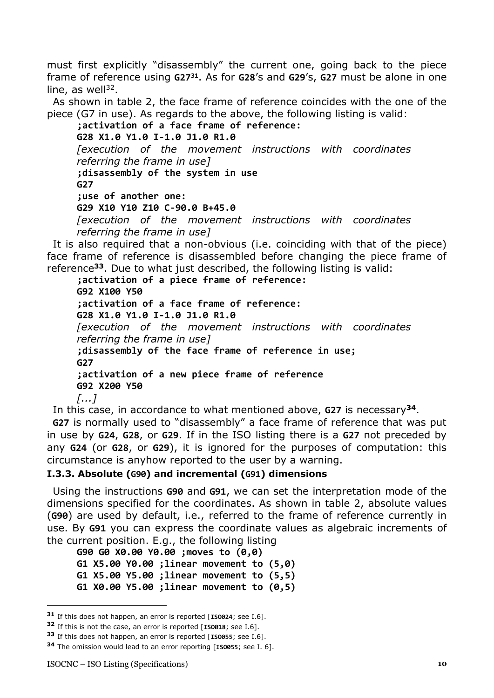must first explicitly "disassembly" the current one, going back to the piece frame of reference using **G27<sup>31</sup>**. As for **G28**'s and **G29**'s, **G27** must be alone in one line, as well $^{32}$ .

As shown in table 2, the face frame of reference coincides with the one of the piece (G7 in use). As regards to the above, the following listing is valid:

**;activation of a face frame of reference: G28 X1.0 Y1.0 I-1.0 J1.0 R1.0** *[execution of the movement instructions with coordinates referring the frame in use]* **;disassembly of the system in use G27 ;use of another one: G29 X10 Y10 Z10 C-90.0 B+45.0** *[execution of the movement instructions with coordinates referring the frame in use]*

It is also required that a non-obvious (i.e. coinciding with that of the piece) face frame of reference is disassembled before changing the piece frame of reference**<sup>33</sup>**. Due to what just described, the following listing is valid:

**;activation of a piece frame of reference: G92 X100 Y50 ;activation of a face frame of reference: G28 X1.0 Y1.0 I-1.0 J1.0 R1.0** *[execution of the movement instructions with coordinates referring the frame in use]* **;disassembly of the face frame of reference in use; G27 ;activation of a new piece frame of reference G92 X200 Y50** *[...]*

In this case, in accordance to what mentioned above, **G27** is necessary**<sup>34</sup>**.

**G27** is normally used to "disassembly" a face frame of reference that was put in use by **G24**, **G28**, or **G29**. If in the ISO listing there is a **G27** not preceded by any **G24** (or **G28**, or **G29**), it is ignored for the purposes of computation: this circumstance is anyhow reported to the user by a warning.

#### <span id="page-9-0"></span>**I.3.3. Absolute (G90) and incremental (G91) dimensions**

Using the instructions **G90** and **G91**, we can set the interpretation mode of the dimensions specified for the coordinates. As shown in table 2, absolute values (**G90**) are used by default, i.e., referred to the frame of reference currently in use. By **G91** you can express the coordinate values as algebraic increments of the current position. E.g., the following listing

**G90 G0 X0.00 Y0.00 ;moves to (0,0) G1 X5.00 Y0.00 ;linear movement to (5,0) G1 X5.00 Y5.00 ;linear movement to (5,5) G1 X0.00 Y5.00 ;linear movement to (0,5)**

**<sup>31</sup>** If this does not happen, an error is reported [**ISO024**; see I.6].

**<sup>32</sup>** If this is not the case, an error is reported [**ISO018**; see I.6].

**<sup>33</sup>** If this does not happen, an error is reported [**ISO055**; see I.6].

**<sup>34</sup>** The omission would lead to an error reporting [**ISO055**; see I. 6].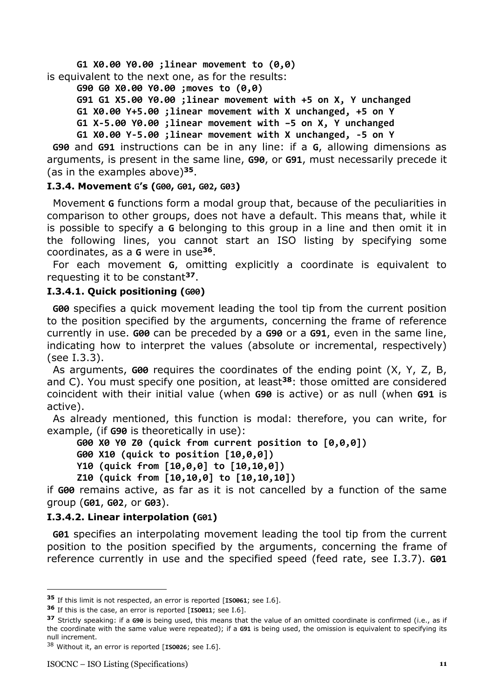**G1 X0.00 Y0.00 ;linear movement to (0,0)** is equivalent to the next one, as for the results:

**G90 G0 X0.00 Y0.00 ;moves to (0,0)**

**G91 G1 X5.00 Y0.00 ;linear movement with +5 on X, Y unchanged G1 X0.00 Y+5.00 ;linear movement with X unchanged, +5 on Y G1 X-5.00 Y0.00 ;linear movement with –5 on X, Y unchanged**

**G1 X0.00 Y-5.00 ;linear movement with X unchanged, -5 on Y**

**G90** and **G91** instructions can be in any line: if a **G**, allowing dimensions as arguments, is present in the same line, **G90**, or **G91**, must necessarily precede it (as in the examples above)**<sup>35</sup>**.

#### <span id="page-10-0"></span>**I.3.4. Movement G's (G00, G01, G02, G03)**

Movement **G** functions form a modal group that, because of the peculiarities in comparison to other groups, does not have a default. This means that, while it is possible to specify a **G** belonging to this group in a line and then omit it in the following lines, you cannot start an ISO listing by specifying some coordinates, as a **G** were in use**<sup>36</sup>**.

For each movement **G**, omitting explicitly a coordinate is equivalent to requesting it to be constant**<sup>37</sup>**.

### <span id="page-10-1"></span>**I.3.4.1. Quick positioning (G00)**

**G00** specifies a quick movement leading the tool tip from the current position to the position specified by the arguments, concerning the frame of reference currently in use. **G00** can be preceded by a **G90** or a **G91**, even in the same line, indicating how to interpret the values (absolute or incremental, respectively) (see I.3.3).

As arguments, **G00** requires the coordinates of the ending point (X, Y, Z, B, and C). You must specify one position, at least**<sup>38</sup>**: those omitted are considered coincident with their initial value (when **G90** is active) or as null (when **G91** is active).

As already mentioned, this function is modal: therefore, you can write, for example, (if **G90** is theoretically in use):

**G00 X0 Y0 Z0 (quick from current position to [0,0,0])**

**G00 X10 (quick to position [10,0,0])**

- **Y10 (quick from [10,0,0] to [10,10,0])**
- **Z10 (quick from [10,10,0] to [10,10,10])**

if **G00** remains active, as far as it is not cancelled by a function of the same group (**G01**, **G02**, or **G03**).

### <span id="page-10-2"></span>**I.3.4.2. Linear interpolation (G01)**

**G01** specifies an interpolating movement leading the tool tip from the current position to the position specified by the arguments, concerning the frame of reference currently in use and the specified speed (feed rate, see I.3.7). **G01**

**<sup>35</sup>** If this limit is not respected, an error is reported [**ISO061**; see I.6].

**<sup>36</sup>** If this is the case, an error is reported [**ISO011**; see I.6].

**<sup>37</sup>** Strictly speaking: if a **G90** is being used, this means that the value of an omitted coordinate is confirmed (i.e., as if the coordinate with the same value were repeated); if a **G91** is being used, the omission is equivalent to specifying its null increment.

<sup>38</sup> Without it, an error is reported [**ISO026**; see I.6].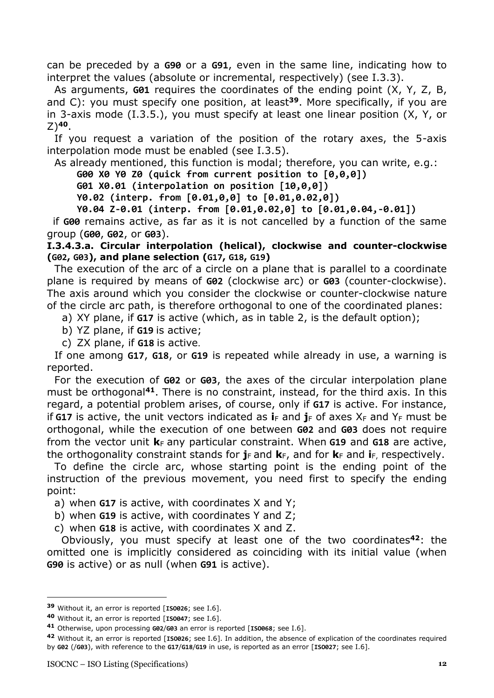can be preceded by a **G90** or a **G91**, even in the same line, indicating how to interpret the values (absolute or incremental, respectively) (see I.3.3).

As arguments, **G01** requires the coordinates of the ending point (X, Y, Z, B, and C): you must specify one position, at least**<sup>39</sup>**. More specifically, if you are in 3-axis mode (I.3.5.), you must specify at least one linear position (X, Y, or  $Z$ <sup>40</sup>.

If you request a variation of the position of the rotary axes, the 5-axis interpolation mode must be enabled (see I.3.5).

As already mentioned, this function is modal; therefore, you can write, e.g.:

**G00 X0 Y0 Z0 (quick from current position to [0,0,0])**

**G01 X0.01 (interpolation on position [10,0,0])**

**Y0.02 (interp. from [0.01,0,0] to [0.01,0.02,0])**

**Y0.04 Z-0.01 (interp. from [0.01,0.02,0] to [0.01,0.04,-0.01])**

if **G00** remains active, as far as it is not cancelled by a function of the same group (**G00**, **G02**, or **G03**).

<span id="page-11-0"></span>**I.3.4.3.a. Circular interpolation (helical), clockwise and counter-clockwise (G02, G03), and plane selection (G17, G18, G19)**

The execution of the arc of a circle on a plane that is parallel to a coordinate plane is required by means of **G02** (clockwise arc) or **G03** (counter-clockwise). The axis around which you consider the clockwise or counter-clockwise nature of the circle arc path, is therefore orthogonal to one of the coordinated planes:

a) XY plane, if **G17** is active (which, as in table 2, is the default option);

- b) YZ plane, if **G19** is active;
- c) ZX plane, if **G18** is active.

If one among **G17**, **G18**, or **G19** is repeated while already in use, a warning is reported.

For the execution of **G02** or **G03**, the axes of the circular interpolation plane must be orthogonal**<sup>41</sup>**. There is no constraint, instead, for the third axis. In this regard, a potential problem arises, of course, only if **G17** is active. For instance, if **G17** is active, the unit vectors indicated as  $\mathbf{i}_F$  and  $\mathbf{j}_F$  of axes  $X_F$  and  $Y_F$  must be orthogonal, while the execution of one between **G02** and **G03** does not require from the vector unit  $\mathbf{k}_F$  any particular constraint. When **G19** and **G18** are active, the orthogonality constraint stands for  $j_F$  and  $k_F$ , and for  $k_F$  and  $i_F$ , respectively.

To define the circle arc, whose starting point is the ending point of the instruction of the previous movement, you need first to specify the ending point:

a) when **G17** is active, with coordinates X and Y;

b) when **G19** is active, with coordinates Y and Z;

c) when **G18** is active, with coordinates X and Z.

 Obviously, you must specify at least one of the two coordinates**<sup>42</sup>**: the omitted one is implicitly considered as coinciding with its initial value (when **G90** is active) or as null (when **G91** is active).

**<sup>39</sup>** Without it, an error is reported [**ISO026**; see I.6].

**<sup>40</sup>** Without it, an error is reported [**ISO047**; see I.6].

**<sup>41</sup>** Otherwise, upon processing **G02**/**G03** an error is reported [**ISO068**; see I.6].

**<sup>42</sup>** Without it, an error is reported [**ISO026**; see I.6]. In addition, the absence of explication of the coordinates required by **G02** (/**G03**), with reference to the **G17**/**G18**/**G19** in use, is reported as an error [**ISO027**; see I.6].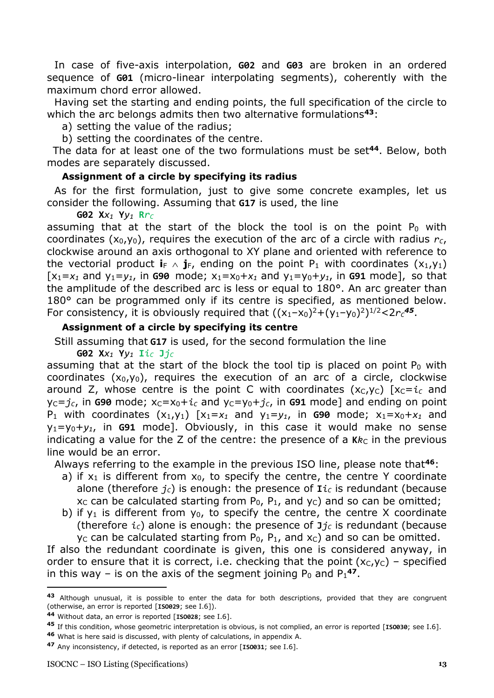In case of five-axis interpolation, **G02** and **G03** are broken in an ordered sequence of **G01** (micro-linear interpolating segments), coherently with the maximum chord error allowed.

Having set the starting and ending points, the full specification of the circle to which the arc belongs admits then two alternative formulations**<sup>43</sup>**:

a) setting the value of the radius;

b) setting the coordinates of the centre.

The data for at least one of the two formulations must be set**<sup>44</sup>**. Below, both modes are separately discussed.

#### **Assignment of a circle by specifying its radius**

As for the first formulation, just to give some concrete examples, let us consider the following. Assuming that **G17** is used, the line

#### **G02 X***x<sup>1</sup>* **Y***y<sup>1</sup>* **R***r<sup>C</sup>*

assuming that at the start of the block the tool is on the point  $P_0$  with coordinates  $(x_0,y_0)$ , requires the execution of the arc of a circle with radius  $r_c$ , clockwise around an axis orthogonal to XY plane and oriented with reference to the vectorial product  $\mathbf{i}_{F} \wedge \mathbf{j}_{F}$ , ending on the point P<sub>1</sub> with coordinates  $(x_1,y_1)$  $[x_1=x_1$  and  $y_1=y_1$ , in G90 mode;  $x_1=x_0+x_1$  and  $y_1=y_0+y_1$ , in G91 mode], so that the amplitude of the described arc is less or equal to 180°. An arc greater than 180° can be programmed only if its centre is specified, as mentioned below. For consistency, it is obviously required that  $((x_1-x_0)^2+(y_1-y_0)^2)^{1/2}$ <2 $r_c$ <sup>45</sup>.

#### **Assignment of a circle by specifying its centre**

Still assuming that **G17** is used, for the second formulation the line

**G02 X***x<sup>1</sup>* **Y***y<sup>1</sup>* **I***i<sup>C</sup>* **J***j<sup>C</sup>*

assuming that at the start of the block the tool tip is placed on point  $P_0$  with coordinates  $(x_0,y_0)$ , requires the execution of an arc of a circle, clockwise around Z, whose centre is the point C with coordinates  $(x_C, y_C)$   $[x_C = i_C$  and  $y_c = j_c$ , in G90 mode;  $x_c = x_0 + i_c$  and  $y_c = y_0 + j_c$ , in G91 mode] and ending on point P<sub>1</sub> with coordinates  $(x_1,y_1)$   $[x_1=x_1$  and  $y_1=y_1$ , in G90 mode;  $x_1=x_0+x_1$  and y1=y0+*y1*, in **G91** mode]. Obviously, in this case it would make no sense indicating a value for the Z of the centre: the presence of a  $\mathbf{K}$ <sub>*kc*</sub> in the previous line would be an error.

Always referring to the example in the previous ISO line, please note that**<sup>46</sup>**:

- a) if  $x_1$  is different from  $x_0$ , to specify the centre, the centre Y coordinate alone (therefore  $j_c$ ) is enough: the presence of  $I_i$ *c* is redundant (because  $x_c$  can be calculated starting from  $P_0$ ,  $P_1$ , and  $y_c$ ) and so can be omitted;
- b) if  $y_1$  is different from  $y_0$ , to specify the centre, the centre X coordinate (therefore  $i_c$ ) alone is enough: the presence of  $\mathbf{J}i_c$  is redundant (because  $y_c$  can be calculated starting from  $P_0$ ,  $P_1$ , and  $x_c$ ) and so can be omitted.

If also the redundant coordinate is given, this one is considered anyway, in order to ensure that it is correct, i.e. checking that the point  $(x_C, y_C)$  - specified in this way – is on the axis of the segment joining  $P_0$  and  $P_1$ <sup>47</sup>.

**<sup>43</sup>** Although unusual, it is possible to enter the data for both descriptions, provided that they are congruent (otherwise, an error is reported [**ISO029**; see I.6]).

**<sup>44</sup>** Without data, an error is reported [**ISO028**; see I.6].

**<sup>45</sup>** If this condition, whose geometric interpretation is obvious, is not complied, an error is reported [**ISO030**; see I.6].

**<sup>46</sup>** What is here said is discussed, with plenty of calculations, in appendix A.

**<sup>47</sup>** Any inconsistency, if detected, is reported as an error [**ISO031**; see I.6].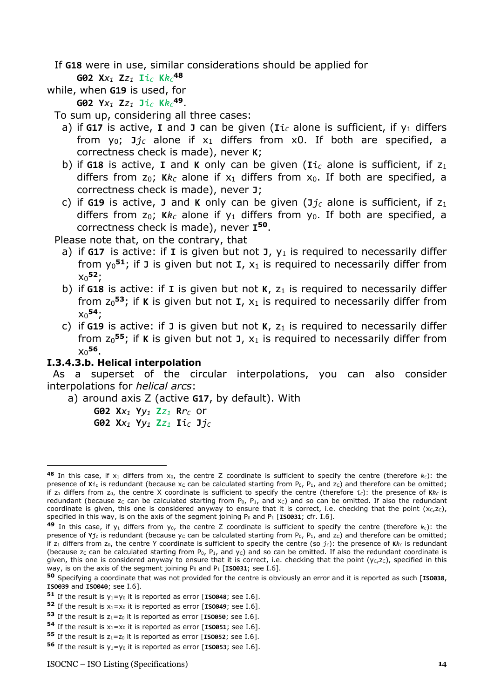If **G18** were in use, similar considerations should be applied for

#### **G02 X***x<sup>1</sup>* **Z***z<sup>1</sup>* **I***i<sup>C</sup>* **K***k<sup>C</sup>* **48**

- while, when **G19** is used, for
	- **G02 Y***x<sup>1</sup>* **Z***z<sup>1</sup>* **J***i<sup>C</sup>* **K***k<sup>C</sup>* **<sup>49</sup>**.
	- To sum up, considering all three cases:
		- a) if G17 is active, I and J can be given ( $I_i$ <sup> $C$ </sup> alone is sufficient, if  $y_1$  differs from  $y_0$ ;  $\mathbf{J}j_c$  alone if  $x_1$  differs from x0. If both are specified, a correctness check is made), never **K**;
		- b) if **G18** is active, **I** and **K** only can be given ( $\text{I}i_C$  alone is sufficient, if  $z_1$ differs from  $z_0$ ; Kk<sub>c</sub> alone if  $x_1$  differs from  $x_0$ . If both are specified, a correctness check is made), never **J**;
		- c) if **G19** is active, **J** and **K** only can be given  $(\mathbf{J}j_C)$  alone is sufficient, if  $z_1$ differs from  $z_0$ ; Kk<sub>c</sub> alone if  $y_1$  differs from  $y_0$ . If both are specified, a correctness check is made), never **I <sup>50</sup>**.

Please note that, on the contrary, that

- a) if G17 is active: if I is given but not J, y<sub>1</sub> is required to necessarily differ from  $y_0$ <sup>51</sup>; if J is given but not I,  $x_1$  is required to necessarily differ from x0 **<sup>52</sup>**;
- b) if  $G18$  is active: if I is given but not K,  $z_1$  is required to necessarily differ from  $z_0$ <sup>53</sup>; if K is given but not  $I$ ,  $x_1$  is required to necessarily differ from x0 **<sup>54</sup>**;
- c) if G19 is active: if J is given but not K, z<sub>1</sub> is required to necessarily differ from  $z_0$ <sup>55</sup>; if K is given but not J,  $x_1$  is required to necessarily differ from x0 **<sup>56</sup>**.

### <span id="page-13-0"></span>**I.3.4.3.b. Helical interpolation**

As a superset of the circular interpolations, you can also consider interpolations for *helical arcs*:

- a) around axis Z (active **G17**, by default). With
	- **G02 X***x<sup>1</sup>* **Y***y<sup>1</sup>* **Z***z<sup>1</sup>* **R***r<sup>C</sup>* or
	- **G02 X***x<sup>1</sup>* **Y***y<sup>1</sup>* **Z***z<sup>1</sup>* **I***i<sup>C</sup>* **J***j<sup>C</sup>*

<sup>48</sup> In this case, if x<sub>1</sub> differs from x<sub>0</sub>, the centre Z coordinate is sufficient to specify the centre (therefore  $k_c$ ): the presence of  $x_i$ <sub>*c*</sub> is redundant (because  $x_c$  can be calculated starting from  $P_0$ ,  $P_1$ , and  $z_c$ ) and therefore can be omitted; if  $z_1$  differs from  $z_0$ , the centre X coordinate is sufficient to specify the centre (therefore  $i_c$ ): the presence of  $\kappa k_c$  is redundant (because  $z_c$  can be calculated starting from  $P_0$ ,  $P_1$ , and  $x_c$ ) and so can be omitted. If also the redundant coordinate is given, this one is considered anyway to ensure that it is correct, i.e. checking that the point  $(x<sub>c</sub>,z<sub>c</sub>)$ , specified in this way, is on the axis of the segment joining  $P_0$  and  $P_1$  [**ISO031**; cfr. I.6].

**<sup>49</sup>** In this case, if  $y_1$  differs from  $y_0$ , the centre Z coordinate is sufficient to specify the centre (therefore  $k_c$ ): the presence of  $Y$ *j<sub>c</sub>* is redundant (because y<sub>c</sub> can be calculated starting from P<sub>0</sub>, P<sub>1</sub>, and z<sub>c</sub>) and therefore can be omitted; if  $z_1$  differs from  $z_0$ , the centre Y coordinate is sufficient to specify the centre (so  $j_c$ ): the presence of  $\kappa k_c$  is redundant (because  $z_c$  can be calculated starting from  $P_0$ ,  $P_1$ , and  $y_c$ ) and so can be omitted. If also the redundant coordinate is given, this one is considered anyway to ensure that it is correct, i.e. checking that the point  $(y<sub>c</sub>,z<sub>c</sub>)$ , specified in this way, is on the axis of the segment joining P<sub>0</sub> and P<sub>1</sub> [**ISO031**; see I.6].

**<sup>50</sup>** Specifying a coordinate that was not provided for the centre is obviously an error and it is reported as such [**ISO038**, **ISO039** and **ISO040**; see I.6].

**<sup>51</sup>** If the result is  $y_1 = y_0$  it is reported as error [**ISO048**; see I.6].

**<sup>52</sup>** If the result is  $x_1 = x_0$  it is reported as error [**ISO049**; see I.6].

**<sup>53</sup>** If the result is  $z_1 = z_0$  it is reported as error [**ISO050**; see I.6].

**<sup>54</sup>** If the result is  $x_1 = x_0$  it is reported as error [**ISO051**; see I.6].

**<sup>55</sup>** If the result is  $z_1 = z_0$  it is reported as error [**ISO052**; see I.6].

**<sup>56</sup>** If the result is  $y_1 = y_0$  it is reported as error [**ISO053**; see I.6].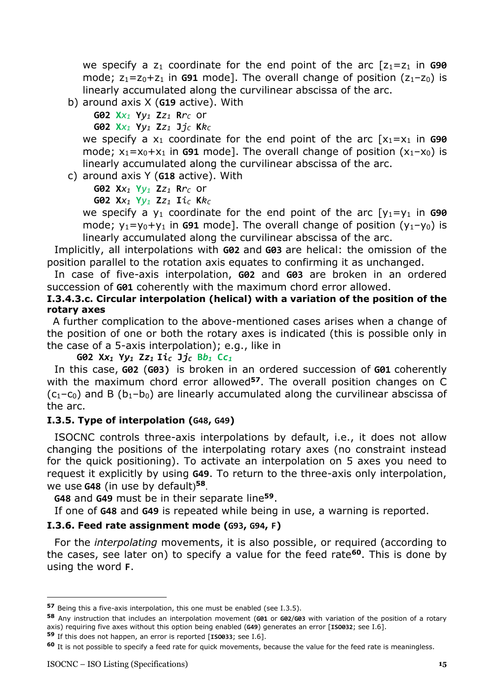we specify a  $z_1$  coordinate for the end point of the arc  $[z_1=z_1]$  in **G90** mode;  $z_1 = z_0 + z_1$  in **G91** mode]. The overall change of position  $(z_1 - z_0)$  is linearly accumulated along the curvilinear abscissa of the arc.

b) around axis X (**G19** active). With

**G02 X***x<sup>1</sup>* **Y***y<sup>1</sup>* **Z***z<sup>1</sup>* **R***r<sup>C</sup>* or

**G02 X***x<sup>1</sup>* **Y***y<sup>1</sup>* **Z***z<sup>1</sup>* **J***j<sup>C</sup>* **K***k<sup>C</sup>*

we specify a  $x_1$  coordinate for the end point of the arc  $[x_1=x_1]$  in **G90** mode;  $x_1 = x_0 + x_1$  in **G91** model. The overall change of position  $(x_1-x_0)$  is linearly accumulated along the curvilinear abscissa of the arc.

c) around axis Y (**G18** active). With

**G02 X***x<sup>1</sup>* **Y***y<sup>1</sup>* **Z***z<sup>1</sup>* **R***r<sup>C</sup>* or

**G02 X***x<sup>1</sup>* **Y***y<sup>1</sup>* **Z***z<sup>1</sup>* **I***i<sup>C</sup>* **K***k<sup>C</sup>*

we specify a  $y_1$  coordinate for the end point of the arc  $[y_1=y_1]$  in **G90** mode;  $y_1 = y_0 + y_1$  in **G91** mode]. The overall change of position  $(y_1 - y_0)$  is linearly accumulated along the curvilinear abscissa of the arc.

Implicitly, all interpolations with **G02** and **G03** are helical: the omission of the position parallel to the rotation axis equates to confirming it as unchanged.

In case of five-axis interpolation, **G02** and **G03** are broken in an ordered succession of **G01** coherently with the maximum chord error allowed.

#### <span id="page-14-0"></span>**I.3.4.3.c. Circular interpolation (helical) with a variation of the position of the rotary axes**

A further complication to the above-mentioned cases arises when a change of the position of one or both the rotary axes is indicated (this is possible only in the case of a 5-axis interpolation); e.g., like in

**G02 X***x<sup>1</sup>* **Y***y<sup>1</sup>* **Z***z1* **I***i<sup>C</sup>* **J***j<sup>C</sup>* **B***b<sup>1</sup>* **C***c<sup>1</sup>*

In this case, **G02** (**G03)** is broken in an ordered succession of **G01** coherently with the maximum chord error allowed**<sup>57</sup>**. The overall position changes on C  $(c_1-c_0)$  and B  $(b_1-b_0)$  are linearly accumulated along the curvilinear abscissa of the arc.

#### <span id="page-14-1"></span>**I.3.5. Type of interpolation (G48, G49)**

ISOCNC controls three-axis interpolations by default, i.e., it does not allow changing the positions of the interpolating rotary axes (no constraint instead for the quick positioning). To activate an interpolation on 5 axes you need to request it explicitly by using **G49**. To return to the three-axis only interpolation, we use **G48** (in use by default) **<sup>58</sup>**.

**G48** and **G49** must be in their separate line**<sup>59</sup>**.

If one of **G48** and **G49** is repeated while being in use, a warning is reported.

#### <span id="page-14-2"></span>**I.3.6. Feed rate assignment mode (G93, G94, F)**

For the *interpolating* movements, it is also possible, or required (according to the cases, see later on) to specify a value for the feed rate**<sup>60</sup>**. This is done by using the word **F**.

**<sup>57</sup>** Being this a five-axis interpolation, this one must be enabled (see I.3.5).

**<sup>58</sup>** Any instruction that includes an interpolation movement (**G01** or **G02**/**G03** with variation of the position of a rotary axis) requiring five axes without this option being enabled (**G49**) generates an error [**ISO032**; see I.6].

**<sup>59</sup>** If this does not happen, an error is reported [**ISO033**; see I.6].

**<sup>60</sup>** It is not possible to specify a feed rate for quick movements, because the value for the feed rate is meaningless.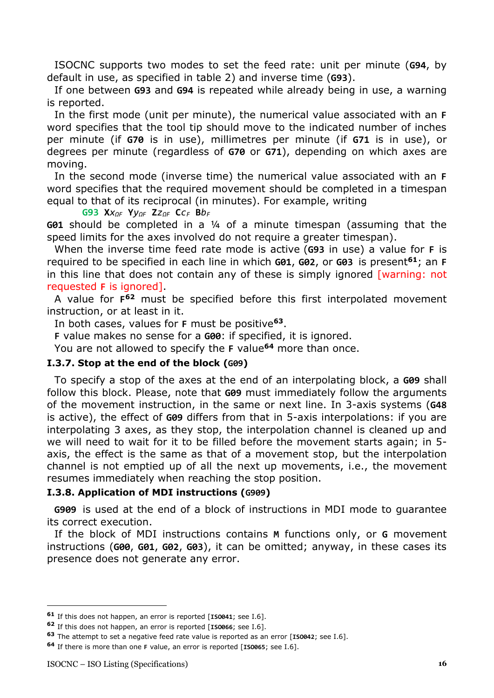ISOCNC supports two modes to set the feed rate: unit per minute (**G94**, by default in use, as specified in table 2) and inverse time (**G93**).

If one between **G93** and **G94** is repeated while already being in use, a warning is reported.

In the first mode (unit per minute), the numerical value associated with an **F** word specifies that the tool tip should move to the indicated number of inches per minute (if **G70** is in use), millimetres per minute (if **G71** is in use), or degrees per minute (regardless of **G70** or **G71**), depending on which axes are moving.

In the second mode (inverse time) the numerical value associated with an **F** word specifies that the required movement should be completed in a timespan equal to that of its reciprocal (in minutes). For example, writing

**G93 X***xΩF* **Y***yΩF* **Z***zΩF* **C***c<sup>F</sup>* **B***b<sup>F</sup>*

**G01** should be completed in a ¼ of a minute timespan (assuming that the speed limits for the axes involved do not require a greater timespan).

When the inverse time feed rate mode is active (**G93** in use) a value for **F** is required to be specified in each line in which **G01**, **G02**, or **G03** is present**<sup>61</sup>**; an **F** in this line that does not contain any of these is simply ignored [warning: not requested **F** is ignored].

A value for **F <sup>62</sup>** must be specified before this first interpolated movement instruction, or at least in it.

In both cases, values for **F** must be positive**<sup>63</sup>**.

**F** value makes no sense for a **G00**: if specified, it is ignored.

You are not allowed to specify the **F** value**<sup>64</sup>** more than once.

#### <span id="page-15-0"></span>**I.3.7. Stop at the end of the block (G09)**

To specify a stop of the axes at the end of an interpolating block, a **G09** shall follow this block. Please, note that **G09** must immediately follow the arguments of the movement instruction, in the same or next line. In 3-axis systems (**G48** is active), the effect of **G09** differs from that in 5-axis interpolations: if you are interpolating 3 axes, as they stop, the interpolation channel is cleaned up and we will need to wait for it to be filled before the movement starts again; in 5 axis, the effect is the same as that of a movement stop, but the interpolation channel is not emptied up of all the next up movements, i.e., the movement resumes immediately when reaching the stop position.

### <span id="page-15-1"></span>**I.3.8. Application of MDI instructions (G909)**

**G909** is used at the end of a block of instructions in MDI mode to guarantee its correct execution.

If the block of MDI instructions contains **M** functions only, or **G** movement instructions (**G00**, **G01**, **G02**, **G03**), it can be omitted; anyway, in these cases its presence does not generate any error.

**<sup>61</sup>** If this does not happen, an error is reported [**ISO041**; see I.6].

**<sup>62</sup>** If this does not happen, an error is reported [**ISO066**; see I.6].

**<sup>63</sup>** The attempt to set a negative feed rate value is reported as an error [**ISO042**; see I.6].

**<sup>64</sup>** If there is more than one **F** value, an error is reported [**ISO065**; see I.6].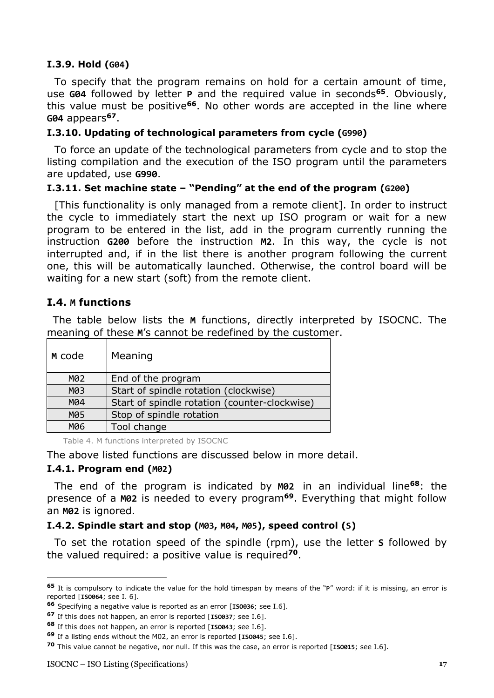### <span id="page-16-0"></span>**I.3.9. Hold (G04)**

To specify that the program remains on hold for a certain amount of time, use **G04** followed by letter **P** and the required value in seconds**<sup>65</sup>**. Obviously, this value must be positive**<sup>66</sup>**. No other words are accepted in the line where **G04** appears**<sup>67</sup>**.

#### <span id="page-16-1"></span>**I.3.10. Updating of technological parameters from cycle (G990)**

To force an update of the technological parameters from cycle and to stop the listing compilation and the execution of the ISO program until the parameters are updated, use **G990**.

#### <span id="page-16-2"></span>**I.3.11. Set machine state – "Pending" at the end of the program (G200)**

[This functionality is only managed from a remote client]. In order to instruct the cycle to immediately start the next up ISO program or wait for a new program to be entered in the list, add in the program currently running the instruction **G200** before the instruction **M2**. In this way, the cycle is not interrupted and, if in the list there is another program following the current one, this will be automatically launched. Otherwise, the control board will be waiting for a new start (soft) from the remote client.

# <span id="page-16-3"></span>**I.4. M functions**

The table below lists the **M** functions, directly interpreted by ISOCNC. The meaning of these **M**'s cannot be redefined by the customer.

| M code | Meaning                                       |
|--------|-----------------------------------------------|
| M02    | End of the program                            |
| M03    | Start of spindle rotation (clockwise)         |
| M04    | Start of spindle rotation (counter-clockwise) |
| M05    | Stop of spindle rotation                      |
| M06    | Tool change                                   |

Table 4. M functions interpreted by ISOCNC

The above listed functions are discussed below in more detail.

### <span id="page-16-4"></span>**I.4.1. Program end (M02)**

The end of the program is indicated by **M02** in an individual line**<sup>68</sup>**: the presence of a **M02** is needed to every program**<sup>69</sup>**. Everything that might follow an **M02** is ignored.

### <span id="page-16-5"></span>**I.4.2. Spindle start and stop (M03, M04, M05), speed control (S)**

To set the rotation speed of the spindle (rpm), use the letter **S** followed by the valued required: a positive value is required**<sup>70</sup>**.

**<sup>65</sup>** It is compulsory to indicate the value for the hold timespan by means of the "**P**" word: if it is missing, an error is reported [**ISO064**; see I. 6].

**<sup>66</sup>** Specifying a negative value is reported as an error [**ISO036**; see I.6].

**<sup>67</sup>** If this does not happen, an error is reported [**ISO037**; see I.6].

**<sup>68</sup>** If this does not happen, an error is reported [**ISO043**; see I.6].

**<sup>69</sup>** If a listing ends without the M02, an error is reported [**ISO045**; see I.6].

**<sup>70</sup>** This value cannot be negative, nor null. If this was the case, an error is reported [**ISO015**; see I.6].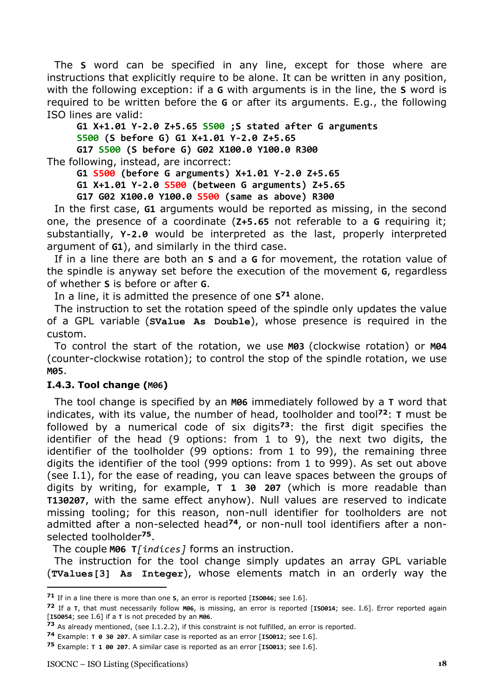The **S** word can be specified in any line, except for those where are instructions that explicitly require to be alone. It can be written in any position, with the following exception: if a **G** with arguments is in the line, the **S** word is required to be written before the **G** or after its arguments. E.g., the following ISO lines are valid:

**G1 X+1.01 Y-2.0 Z+5.65 S500 ;S stated after G arguments S500 (S before G) G1 X+1.01 Y-2.0 Z+5.65 G17 S500 (S before G) G02 X100.0 Y100.0 R300**

The following, instead, are incorrect:

**G1 S500 (before G arguments) X+1.01 Y-2.0 Z+5.65**

**G1 X+1.01 Y-2.0 S500 (between G arguments) Z+5.65**

**G17 G02 X100.0 Y100.0 S500 (same as above) R300**

In the first case, **G1** arguments would be reported as missing, in the second one, the presence of a coordinate (**Z+5.65** not referable to a **G** requiring it; substantially, **Y-2.0** would be interpreted as the last, properly interpreted argument of **G1**), and similarly in the third case.

If in a line there are both an **S** and a **G** for movement, the rotation value of the spindle is anyway set before the execution of the movement **G**, regardless of whether **S** is before or after **G**.

In a line, it is admitted the presence of one **S <sup>71</sup>** alone.

The instruction to set the rotation speed of the spindle only updates the value of a GPL variable (**SValue As Double**), whose presence is required in the custom.

To control the start of the rotation, we use **M03** (clockwise rotation) or **M04** (counter-clockwise rotation); to control the stop of the spindle rotation, we use **M05**.

#### <span id="page-17-0"></span>**I.4.3. Tool change (M06)**

The tool change is specified by an **M06** immediately followed by a **T** word that indicates, with its value, the number of head, toolholder and tool**<sup>72</sup>**: **T** must be followed by a numerical code of six digits**<sup>73</sup>**: the first digit specifies the identifier of the head (9 options: from 1 to 9), the next two digits, the identifier of the toolholder (99 options: from 1 to 99), the remaining three digits the identifier of the tool (999 options: from 1 to 999). As set out above (see I.1), for the ease of reading, you can leave spaces between the groups of digits by writing, for example, **T 1 30 207** (which is more readable than **T130207**, with the same effect anyhow). Null values are reserved to indicate missing tooling; for this reason, non-null identifier for toolholders are not admitted after a non-selected head**74**, or non-null tool identifiers after a nonselected toolholder**<sup>75</sup>**.

The couple **M06 T***[indices]* forms an instruction.

The instruction for the tool change simply updates an array GPL variable (**TValues[3] As Integer**), whose elements match in an orderly way the

**<sup>71</sup>** If in a line there is more than one **S**, an error is reported [**ISO046**; see I.6].

**<sup>72</sup>** If a **T**, that must necessarily follow **M06**, is missing, an error is reported [**ISO014**; see. I.6]. Error reported again [**ISO054**; see I.6] if a **T** is not preceded by an **M06**.

**<sup>73</sup>** As already mentioned, (see I.1.2.2), if this constraint is not fulfilled, an error is reported.

**<sup>74</sup>** Example: **T 0 30 207**. A similar case is reported as an error [**ISO012**; see I.6].

**<sup>75</sup>** Example: **T 1 00 207**. A similar case is reported as an error [**ISO013**; see I.6].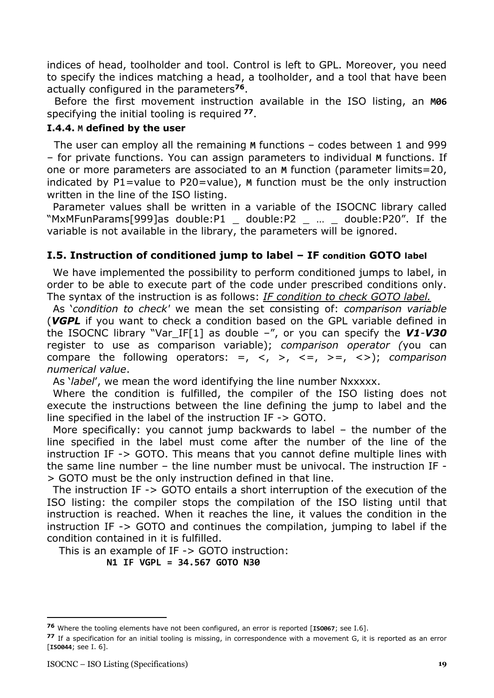indices of head, toolholder and tool. Control is left to GPL. Moreover, you need to specify the indices matching a head, a toolholder, and a tool that have been actually configured in the parameters**<sup>76</sup>**.

Before the first movement instruction available in the ISO listing, an **M06** specifying the initial tooling is required **<sup>77</sup>**.

### <span id="page-18-0"></span>**I.4.4. M defined by the user**

 The user can employ all the remaining **M** functions – codes between 1 and 999 – for private functions. You can assign parameters to individual **M** functions. If one or more parameters are associated to an **M** function (parameter limits=20, indicated by P1=value to P20=value), **M** function must be the only instruction written in the line of the ISO listing.

Parameter values shall be written in a variable of the ISOCNC library called "MxMFunParams[999]as double:P1  $\_$  double:P2  $\_$   $...$   $\_$  double:P20". If the variable is not available in the library, the parameters will be ignored.

# <span id="page-18-1"></span>**I.5. Instruction of conditioned jump to label – IF condition GOTO label**

We have implemented the possibility to perform conditioned jumps to label, in order to be able to execute part of the code under prescribed conditions only. The syntax of the instruction is as follows: *IF condition to check GOTO label.*

As '*condition to check'* we mean the set consisting of: *comparison variable*  (*VGPL* if you want to check a condition based on the GPL variable defined in the ISOCNC library "Var\_IF[1] as double –", or you can specify the *V1*-*V30* register to use as comparison variable); *comparison operator (*you can compare the following operators: =, <, >, <=, >=, <>); *comparison numerical value*.

As '*label*', we mean the word identifying the line number Nxxxxx.

Where the condition is fulfilled, the compiler of the ISO listing does not execute the instructions between the line defining the jump to label and the line specified in the label of the instruction IF -> GOTO.

More specifically: you cannot jump backwards to label – the number of the line specified in the label must come after the number of the line of the instruction IF -> GOTO. This means that you cannot define multiple lines with the same line number – the line number must be univocal. The instruction IF - > GOTO must be the only instruction defined in that line.

The instruction IF -> GOTO entails a short interruption of the execution of the ISO listing: the compiler stops the compilation of the ISO listing until that instruction is reached. When it reaches the line, it values the condition in the instruction IF -> GOTO and continues the compilation, jumping to label if the condition contained in it is fulfilled.

 This is an example of IF -> GOTO instruction: **N1 IF VGPL = 34.567 GOTO N30**

**<sup>76</sup>** Where the tooling elements have not been configured, an error is reported [**ISO067**; see I.6].

**<sup>77</sup>** If a specification for an initial tooling is missing, in correspondence with a movement G, it is reported as an error [**ISO044**; see I. 6].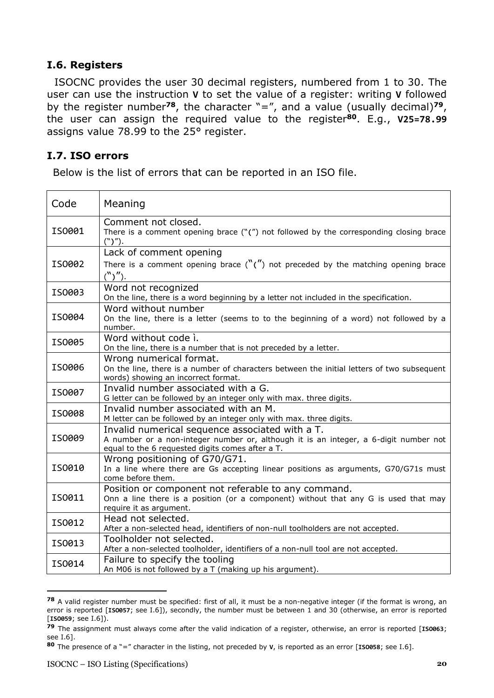# <span id="page-19-0"></span>**I.6. Registers**

ISOCNC provides the user 30 decimal registers, numbered from 1 to 30. The user can use the instruction **V** to set the value of a register: writing **V** followed by the register number**<sup>78</sup>**, the character "=", and a value (usually decimal)**<sup>79</sup>**, the user can assign the required value to the register**<sup>80</sup>**. E.g., **V25=78.99** assigns value 78.99 to the 25° register.

### <span id="page-19-1"></span>**I.7. ISO errors**

Below is the list of errors that can be reported in an ISO file.

| Code   | Meaning                                                                                                                                                                                     |
|--------|---------------------------------------------------------------------------------------------------------------------------------------------------------------------------------------------|
| IS0001 | Comment not closed.<br>There is a comment opening brace $(\lq'')$ not followed by the corresponding closing brace<br>$($ " $)$ " $).$                                                       |
| IS0002 | Lack of comment opening<br>There is a comment opening brace $\binom{N}{k}$ not preceded by the matching opening brace<br>$\binom{N}{k}$ ").                                                 |
| IS0003 | Word not recognized<br>On the line, there is a word beginning by a letter not included in the specification.                                                                                |
| IS0004 | Word without number<br>On the line, there is a letter (seems to to the beginning of a word) not followed by a<br>number.                                                                    |
| IS0005 | Word without code i.<br>On the line, there is a number that is not preceded by a letter.                                                                                                    |
| IS0006 | Wrong numerical format.<br>On the line, there is a number of characters between the initial letters of two subsequent<br>words) showing an incorrect format.                                |
| IS0007 | Invalid number associated with a G.<br>G letter can be followed by an integer only with max. three digits.                                                                                  |
| IS0008 | Invalid number associated with an M.<br>M letter can be followed by an integer only with max. three digits.                                                                                 |
| IS0009 | Invalid numerical sequence associated with a T.<br>A number or a non-integer number or, although it is an integer, a 6-digit number not<br>equal to the 6 requested digits comes after a T. |
| IS0010 | Wrong positioning of G70/G71.<br>In a line where there are Gs accepting linear positions as arguments, G70/G71s must<br>come before them.                                                   |
| IS0011 | Position or component not referable to any command.<br>Onn a line there is a position (or a component) without that any G is used that may<br>require it as argument.                       |
| IS0012 | Head not selected.<br>After a non-selected head, identifiers of non-null toolholders are not accepted.                                                                                      |
| IS0013 | Toolholder not selected.<br>After a non-selected toolholder, identifiers of a non-null tool are not accepted.                                                                               |
| IS0014 | Failure to specify the tooling<br>An M06 is not followed by a T (making up his argument).                                                                                                   |

**<sup>78</sup>** A valid register number must be specified: first of all, it must be a non-negative integer (if the format is wrong, an error is reported [**ISO057**; see I.6]), secondly, the number must be between 1 and 30 (otherwise, an error is reported [**ISO059**; see I.6]).

**<sup>79</sup>** The assignment must always come after the valid indication of a register, otherwise, an error is reported [**ISO063**; see I.6].

**<sup>80</sup>** The presence of a "=" character in the listing, not preceded by **V**, is reported as an error [**ISO058**; see I.6].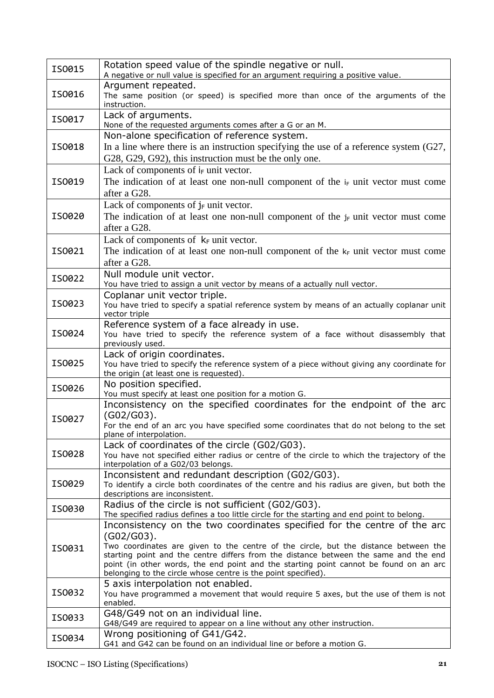| IS0015 | Rotation speed value of the spindle negative or null.<br>A negative or null value is specified for an argument requiring a positive value.                                                                                                                                                                                                                                                                                         |
|--------|------------------------------------------------------------------------------------------------------------------------------------------------------------------------------------------------------------------------------------------------------------------------------------------------------------------------------------------------------------------------------------------------------------------------------------|
| IS0016 | Argument repeated.<br>The same position (or speed) is specified more than once of the arguments of the<br>instruction.                                                                                                                                                                                                                                                                                                             |
| IS0017 | Lack of arguments.<br>None of the requested arguments comes after a G or an M.                                                                                                                                                                                                                                                                                                                                                     |
| IS0018 | Non-alone specification of reference system.<br>In a line where there is an instruction specifying the use of a reference system $(G27)$ ,<br>G28, G29, G92), this instruction must be the only one.                                                                                                                                                                                                                               |
| IS0019 | Lack of components of $i_F$ unit vector.<br>The indication of at least one non-null component of the $i_F$ unit vector must come<br>after a G28.                                                                                                                                                                                                                                                                                   |
| IS0020 | Lack of components of $j_F$ unit vector.<br>The indication of at least one non-null component of the $j_F$ unit vector must come<br>after a G28.                                                                                                                                                                                                                                                                                   |
| IS0021 | Lack of components of $k_F$ unit vector.<br>The indication of at least one non-null component of the $k_F$ unit vector must come<br>after a G28.                                                                                                                                                                                                                                                                                   |
| IS0022 | Null module unit vector.<br>You have tried to assign a unit vector by means of a actually null vector.                                                                                                                                                                                                                                                                                                                             |
| IS0023 | Coplanar unit vector triple.<br>You have tried to specify a spatial reference system by means of an actually coplanar unit<br>vector triple                                                                                                                                                                                                                                                                                        |
| IS0024 | Reference system of a face already in use.<br>You have tried to specify the reference system of a face without disassembly that<br>previously used.                                                                                                                                                                                                                                                                                |
| IS0025 | Lack of origin coordinates.<br>You have tried to specify the reference system of a piece without giving any coordinate for<br>the origin (at least one is requested).                                                                                                                                                                                                                                                              |
| IS0026 | No position specified.<br>You must specify at least one position for a motion G.                                                                                                                                                                                                                                                                                                                                                   |
| IS0027 | Inconsistency on the specified coordinates for the endpoint of the arc<br>$(G02/G03)$ .<br>For the end of an arc you have specified some coordinates that do not belong to the set<br>plane of interpolation.                                                                                                                                                                                                                      |
| IS0028 | Lack of coordinates of the circle (G02/G03).<br>You have not specified either radius or centre of the circle to which the trajectory of the<br>interpolation of a G02/03 belongs.                                                                                                                                                                                                                                                  |
| IS0029 | Inconsistent and redundant description (G02/G03).<br>To identify a circle both coordinates of the centre and his radius are given, but both the<br>descriptions are inconsistent.                                                                                                                                                                                                                                                  |
| IS0030 | Radius of the circle is not sufficient (G02/G03).<br>The specified radius defines a too little circle for the starting and end point to belong.                                                                                                                                                                                                                                                                                    |
| IS0031 | Inconsistency on the two coordinates specified for the centre of the arc<br>$(G02/G03)$ .<br>Two coordinates are given to the centre of the circle, but the distance between the<br>starting point and the centre differs from the distance between the same and the end<br>point (in other words, the end point and the starting point cannot be found on an arc<br>belonging to the circle whose centre is the point specified). |
| IS0032 | 5 axis interpolation not enabled.<br>You have programmed a movement that would require 5 axes, but the use of them is not<br>enabled.                                                                                                                                                                                                                                                                                              |
| IS0033 | G48/G49 not on an individual line.<br>G48/G49 are required to appear on a line without any other instruction.                                                                                                                                                                                                                                                                                                                      |
| IS0034 | Wrong positioning of G41/G42.<br>G41 and G42 can be found on an individual line or before a motion G.                                                                                                                                                                                                                                                                                                                              |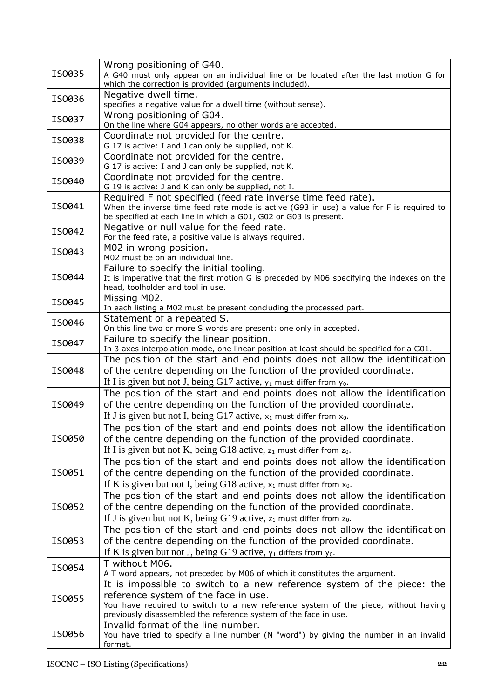| IS0035 | Wrong positioning of G40.<br>A G40 must only appear on an individual line or be located after the last motion G for                               |
|--------|---------------------------------------------------------------------------------------------------------------------------------------------------|
|        | which the correction is provided (arguments included).<br>Negative dwell time.                                                                    |
| IS0036 | specifies a negative value for a dwell time (without sense).                                                                                      |
| IS0037 | Wrong positioning of G04.<br>On the line where G04 appears, no other words are accepted.                                                          |
|        | Coordinate not provided for the centre.                                                                                                           |
| IS0038 | G 17 is active: I and J can only be supplied, not K.                                                                                              |
| IS0039 | Coordinate not provided for the centre.                                                                                                           |
|        | G 17 is active: I and J can only be supplied, not K.<br>Coordinate not provided for the centre.                                                   |
| IS0040 | G 19 is active: J and K can only be supplied, not I.                                                                                              |
|        | Required F not specified (feed rate inverse time feed rate).                                                                                      |
| IS0041 | When the inverse time feed rate mode is active (G93 in use) a value for F is required to                                                          |
|        | be specified at each line in which a G01, G02 or G03 is present.<br>Negative or null value for the feed rate.                                     |
| IS0042 | For the feed rate, a positive value is always required.                                                                                           |
|        | M02 in wrong position.                                                                                                                            |
| IS0043 | M02 must be on an individual line.                                                                                                                |
|        | Failure to specify the initial tooling.                                                                                                           |
| IS0044 | It is imperative that the first motion G is preceded by M06 specifying the indexes on the                                                         |
|        | head, toolholder and tool in use.<br>Missing M02.                                                                                                 |
| IS0045 | In each listing a M02 must be present concluding the processed part.                                                                              |
| IS0046 | Statement of a repeated S.                                                                                                                        |
|        | On this line two or more S words are present: one only in accepted.                                                                               |
| IS0047 | Failure to specify the linear position.                                                                                                           |
|        | In 3 axes interpolation mode, one linear position at least should be specified for a G01.                                                         |
| IS0048 | The position of the start and end points does not allow the identification<br>of the centre depending on the function of the provided coordinate. |
|        | If I is given but not J, being G17 active, $y_1$ must differ from $y_0$ .                                                                         |
|        | The position of the start and end points does not allow the identification                                                                        |
| IS0049 | of the centre depending on the function of the provided coordinate.                                                                               |
|        | If J is given but not I, being G17 active, $x_1$ must differ from $x_0$ .                                                                         |
|        | The position of the start and end points does not allow the identification                                                                        |
| IS0050 | of the centre depending on the function of the provided coordinate.                                                                               |
|        | If I is given but not K, being G18 active, $z_1$ must differ from $z_0$ .                                                                         |
|        | The position of the start and end points does not allow the identification                                                                        |
| IS0051 | of the centre depending on the function of the provided coordinate.                                                                               |
|        | If K is given but not I, being G18 active, $x_1$ must differ from $x_0$ .                                                                         |
|        | The position of the start and end points does not allow the identification                                                                        |
| IS0052 | of the centre depending on the function of the provided coordinate.                                                                               |
|        | If J is given but not K, being G19 active, $z_1$ must differ from $z_0$ .                                                                         |
|        | The position of the start and end points does not allow the identification                                                                        |
| IS0053 | of the centre depending on the function of the provided coordinate.                                                                               |
|        | If K is given but not J, being G19 active, $y_1$ differs from $y_0$ .                                                                             |
| IS0054 | T without M06.<br>A T word appears, not preceded by M06 of which it constitutes the argument.                                                     |
|        | It is impossible to switch to a new reference system of the piece: the                                                                            |
| IS0055 | reference system of the face in use.                                                                                                              |
|        | You have required to switch to a new reference system of the piece, without having                                                                |
|        | previously disassembled the reference system of the face in use.                                                                                  |
| IS0056 | Invalid format of the line number.<br>You have tried to specify a line number (N "word") by giving the number in an invalid                       |
|        | format.                                                                                                                                           |